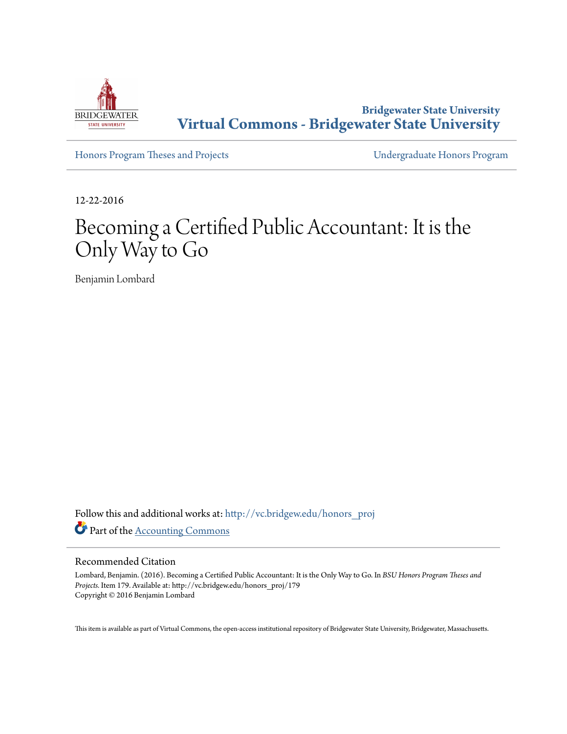

**Bridgewater State University [Virtual Commons - Bridgewater State University](http://vc.bridgew.edu?utm_source=vc.bridgew.edu%2Fhonors_proj%2F179&utm_medium=PDF&utm_campaign=PDFCoverPages)**

[Honors Program Theses and Projects](http://vc.bridgew.edu/honors_proj?utm_source=vc.bridgew.edu%2Fhonors_proj%2F179&utm_medium=PDF&utm_campaign=PDFCoverPages) [Undergraduate Honors Program](http://vc.bridgew.edu/honors?utm_source=vc.bridgew.edu%2Fhonors_proj%2F179&utm_medium=PDF&utm_campaign=PDFCoverPages)

12-22-2016

# Becoming a Certified Public Accountant: It is the Only Way to Go

Benjamin Lombard

Follow this and additional works at: [http://vc.bridgew.edu/honors\\_proj](http://vc.bridgew.edu/honors_proj?utm_source=vc.bridgew.edu%2Fhonors_proj%2F179&utm_medium=PDF&utm_campaign=PDFCoverPages) Part of the [Accounting Commons](http://network.bepress.com/hgg/discipline/625?utm_source=vc.bridgew.edu%2Fhonors_proj%2F179&utm_medium=PDF&utm_campaign=PDFCoverPages)

#### Recommended Citation

Lombard, Benjamin. (2016). Becoming a Certified Public Accountant: It is the Only Way to Go. In *BSU Honors Program Theses and Projects.* Item 179. Available at: http://vc.bridgew.edu/honors\_proj/179 Copyright © 2016 Benjamin Lombard

This item is available as part of Virtual Commons, the open-access institutional repository of Bridgewater State University, Bridgewater, Massachusetts.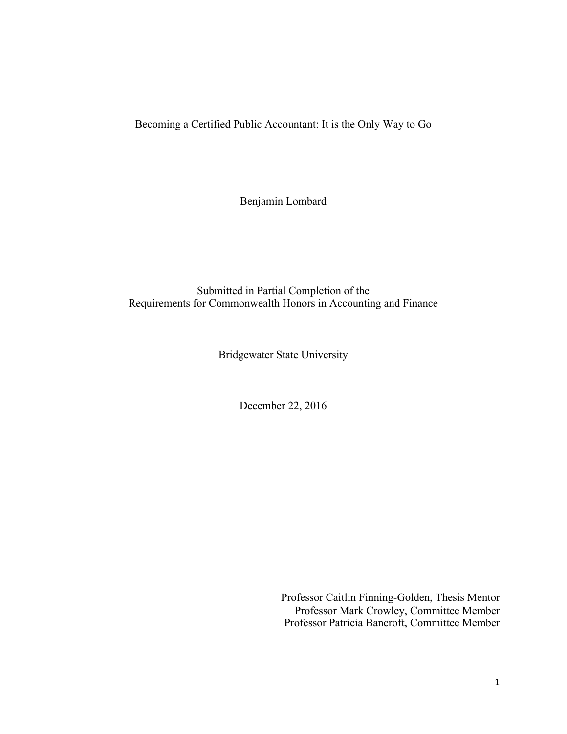Becoming a Certified Public Accountant: It is the Only Way to Go

Benjamin Lombard

Submitted in Partial Completion of the Requirements for Commonwealth Honors in Accounting and Finance

Bridgewater State University

December 22, 2016

Professor Caitlin Finning-Golden, Thesis Mentor Professor Mark Crowley, Committee Member Professor Patricia Bancroft, Committee Member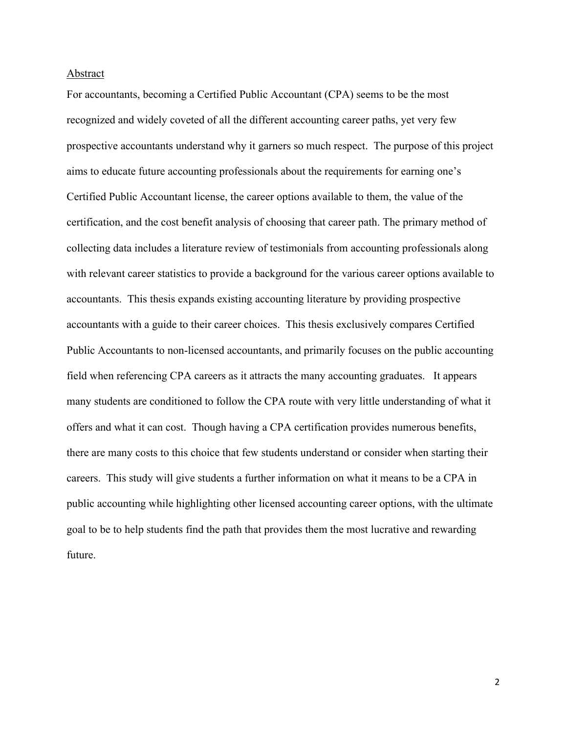#### Abstract

For accountants, becoming a Certified Public Accountant (CPA) seems to be the most recognized and widely coveted of all the different accounting career paths, yet very few prospective accountants understand why it garners so much respect. The purpose of this project aims to educate future accounting professionals about the requirements for earning one's Certified Public Accountant license, the career options available to them, the value of the certification, and the cost benefit analysis of choosing that career path. The primary method of collecting data includes a literature review of testimonials from accounting professionals along with relevant career statistics to provide a background for the various career options available to accountants. This thesis expands existing accounting literature by providing prospective accountants with a guide to their career choices. This thesis exclusively compares Certified Public Accountants to non-licensed accountants, and primarily focuses on the public accounting field when referencing CPA careers as it attracts the many accounting graduates. It appears many students are conditioned to follow the CPA route with very little understanding of what it offers and what it can cost. Though having a CPA certification provides numerous benefits, there are many costs to this choice that few students understand or consider when starting their careers. This study will give students a further information on what it means to be a CPA in public accounting while highlighting other licensed accounting career options, with the ultimate goal to be to help students find the path that provides them the most lucrative and rewarding future.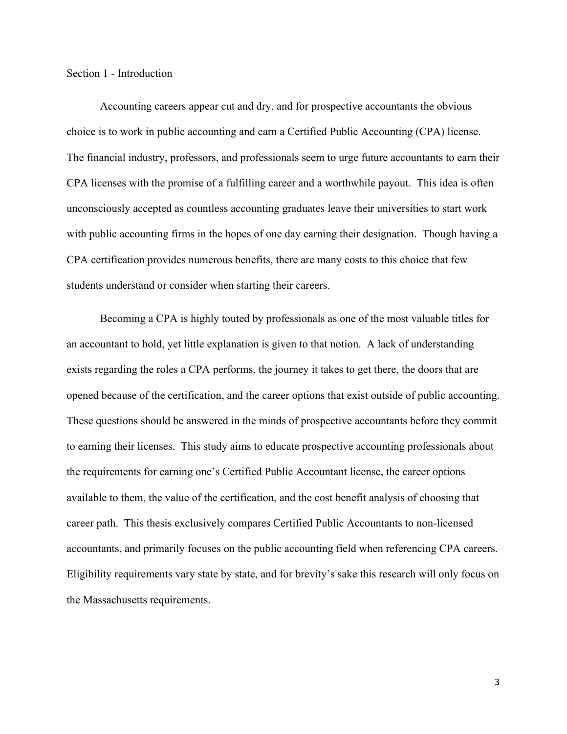## Section 1 - Introduction

Accounting careers appear cut and dry, and for prospective accountants the obvious choice is to work in public accounting and earn a Certified Public Accounting (CPA) license. The financial industry, professors, and professionals seem to urge future accountants to earn their CPA licenses with the promise of a fulfilling career and a worthwhile payout. This idea is often unconsciously accepted as countless accounting graduates leave their universities to start work with public accounting firms in the hopes of one day earning their designation. Though having a CPA certification provides numerous benefits, there are many costs to this choice that few students understand or consider when starting their careers.

Becoming a CPA is highly touted by professionals as one of the most valuable titles for an accountant to hold, yet little explanation is given to that notion. A lack of understanding exists regarding the roles a CPA performs, the journey it takes to get there, the doors that are opened because of the certification, and the career options that exist outside of public accounting. These questions should be answered in the minds of prospective accountants before they commit to earning their licenses. This study aims to educate prospective accounting professionals about the requirements for earning one's Certified Public Accountant license, the career options available to them, the value of the certification, and the cost benefit analysis of choosing that career path. This thesis exclusively compares Certified Public Accountants to non-licensed accountants, and primarily focuses on the public accounting field when referencing CPA careers. Eligibility requirements vary state by state, and for brevity's sake this research will only focus on the Massachusetts requirements.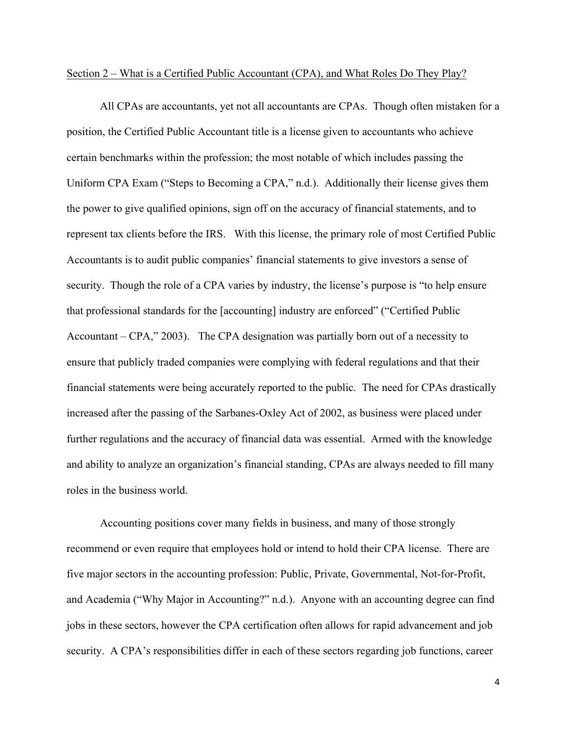#### Section 2 – What is a Certified Public Accountant (CPA), and What Roles Do They Play?

All CPAs are accountants, yet not all accountants are CPAs. Though often mistaken for a position, the Certified Public Accountant title is a license given to accountants who achieve certain benchmarks within the profession; the most notable of which includes passing the Uniform CPA Exam ("Steps to Becoming a CPA," n.d.). Additionally their license gives them the power to give qualified opinions, sign off on the accuracy of financial statements, and to represent tax clients before the IRS. With this license, the primary role of most Certified Public Accountants is to audit public companies' financial statements to give investors a sense of security. Though the role of a CPA varies by industry, the license's purpose is "to help ensure that professional standards for the [accounting] industry are enforced" ("Certified Public Accountant – CPA," 2003). The CPA designation was partially born out of a necessity to ensure that publicly traded companies were complying with federal regulations and that their financial statements were being accurately reported to the public. The need for CPAs drastically increased after the passing of the Sarbanes-Oxley Act of 2002, as business were placed under further regulations and the accuracy of financial data was essential. Armed with the knowledge and ability to analyze an organization's financial standing, CPAs are always needed to fill many roles in the business world.

Accounting positions cover many fields in business, and many of those strongly recommend or even require that employees hold or intend to hold their CPA license. There are five major sectors in the accounting profession: Public, Private, Governmental, Not-for-Profit, and Academia ("Why Major in Accounting?" n.d.). Anyone with an accounting degree can find jobs in these sectors, however the CPA certification often allows for rapid advancement and job security. A CPA's responsibilities differ in each of these sectors regarding job functions, career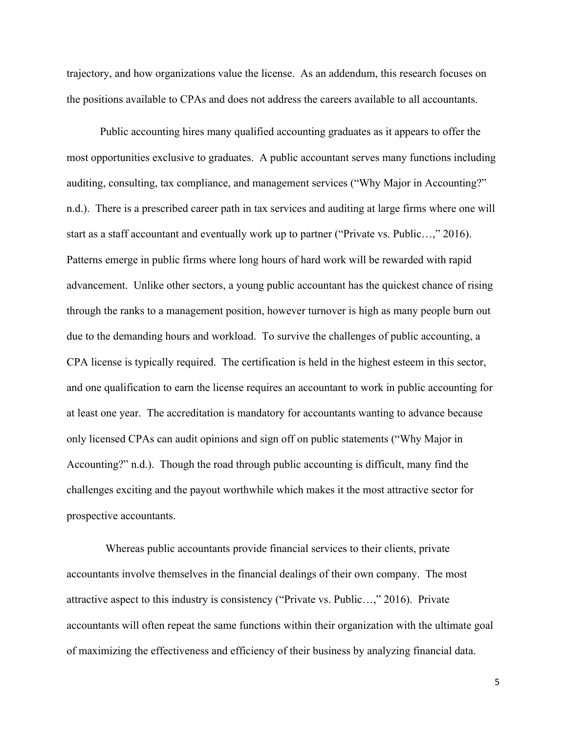trajectory, and how organizations value the license. As an addendum, this research focuses on the positions available to CPAs and does not address the careers available to all accountants.

Public accounting hires many qualified accounting graduates as it appears to offer the most opportunities exclusive to graduates. A public accountant serves many functions including auditing, consulting, tax compliance, and management services ("Why Major in Accounting?" n.d.). There is a prescribed career path in tax services and auditing at large firms where one will start as a staff accountant and eventually work up to partner ("Private vs. Public…," 2016). Patterns emerge in public firms where long hours of hard work will be rewarded with rapid advancement. Unlike other sectors, a young public accountant has the quickest chance of rising through the ranks to a management position, however turnover is high as many people burn out due to the demanding hours and workload. To survive the challenges of public accounting, a CPA license is typically required. The certification is held in the highest esteem in this sector, and one qualification to earn the license requires an accountant to work in public accounting for at least one year. The accreditation is mandatory for accountants wanting to advance because only licensed CPAs can audit opinions and sign off on public statements ("Why Major in Accounting?" n.d.). Though the road through public accounting is difficult, many find the challenges exciting and the payout worthwhile which makes it the most attractive sector for prospective accountants.

 Whereas public accountants provide financial services to their clients, private accountants involve themselves in the financial dealings of their own company. The most attractive aspect to this industry is consistency ("Private vs. Public…," 2016). Private accountants will often repeat the same functions within their organization with the ultimate goal of maximizing the effectiveness and efficiency of their business by analyzing financial data.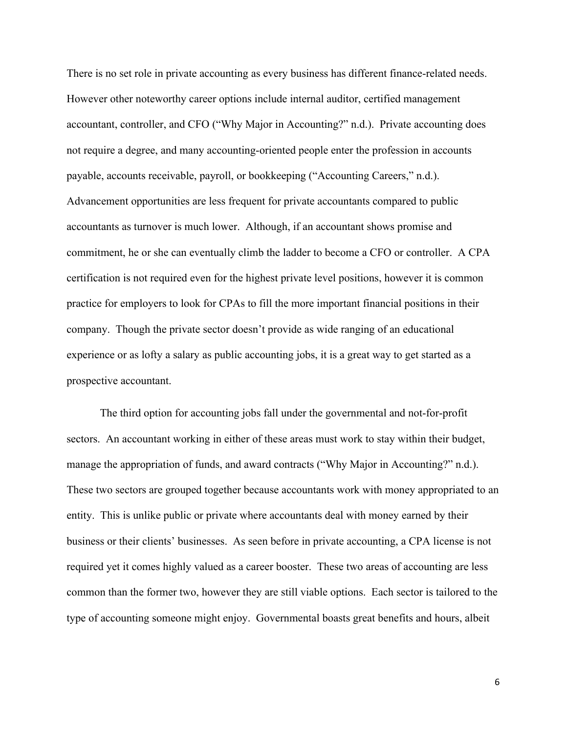There is no set role in private accounting as every business has different finance-related needs. However other noteworthy career options include internal auditor, certified management accountant, controller, and CFO ("Why Major in Accounting?" n.d.). Private accounting does not require a degree, and many accounting-oriented people enter the profession in accounts payable, accounts receivable, payroll, or bookkeeping ("Accounting Careers," n.d.). Advancement opportunities are less frequent for private accountants compared to public accountants as turnover is much lower. Although, if an accountant shows promise and commitment, he or she can eventually climb the ladder to become a CFO or controller. A CPA certification is not required even for the highest private level positions, however it is common practice for employers to look for CPAs to fill the more important financial positions in their company. Though the private sector doesn't provide as wide ranging of an educational experience or as lofty a salary as public accounting jobs, it is a great way to get started as a prospective accountant.

The third option for accounting jobs fall under the governmental and not-for-profit sectors. An accountant working in either of these areas must work to stay within their budget, manage the appropriation of funds, and award contracts ("Why Major in Accounting?" n.d.). These two sectors are grouped together because accountants work with money appropriated to an entity. This is unlike public or private where accountants deal with money earned by their business or their clients' businesses. As seen before in private accounting, a CPA license is not required yet it comes highly valued as a career booster. These two areas of accounting are less common than the former two, however they are still viable options. Each sector is tailored to the type of accounting someone might enjoy. Governmental boasts great benefits and hours, albeit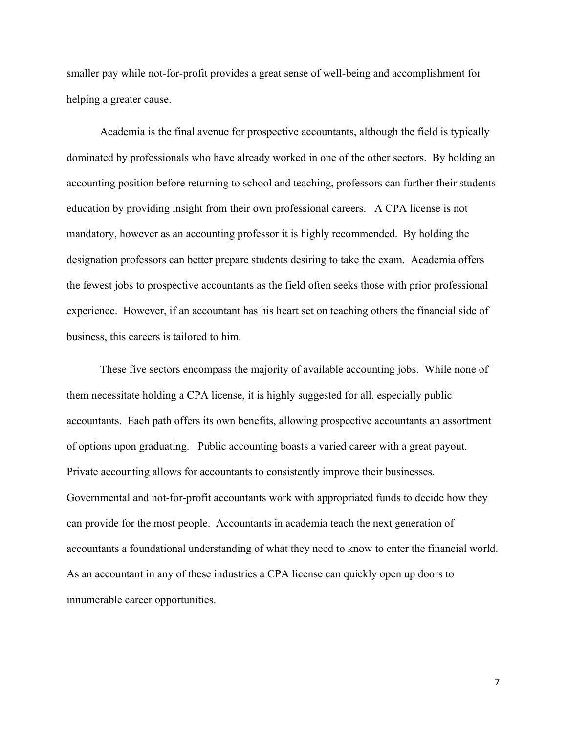smaller pay while not-for-profit provides a great sense of well-being and accomplishment for helping a greater cause.

Academia is the final avenue for prospective accountants, although the field is typically dominated by professionals who have already worked in one of the other sectors. By holding an accounting position before returning to school and teaching, professors can further their students education by providing insight from their own professional careers. A CPA license is not mandatory, however as an accounting professor it is highly recommended. By holding the designation professors can better prepare students desiring to take the exam. Academia offers the fewest jobs to prospective accountants as the field often seeks those with prior professional experience. However, if an accountant has his heart set on teaching others the financial side of business, this careers is tailored to him.

These five sectors encompass the majority of available accounting jobs. While none of them necessitate holding a CPA license, it is highly suggested for all, especially public accountants. Each path offers its own benefits, allowing prospective accountants an assortment of options upon graduating. Public accounting boasts a varied career with a great payout. Private accounting allows for accountants to consistently improve their businesses. Governmental and not-for-profit accountants work with appropriated funds to decide how they can provide for the most people. Accountants in academia teach the next generation of accountants a foundational understanding of what they need to know to enter the financial world. As an accountant in any of these industries a CPA license can quickly open up doors to innumerable career opportunities.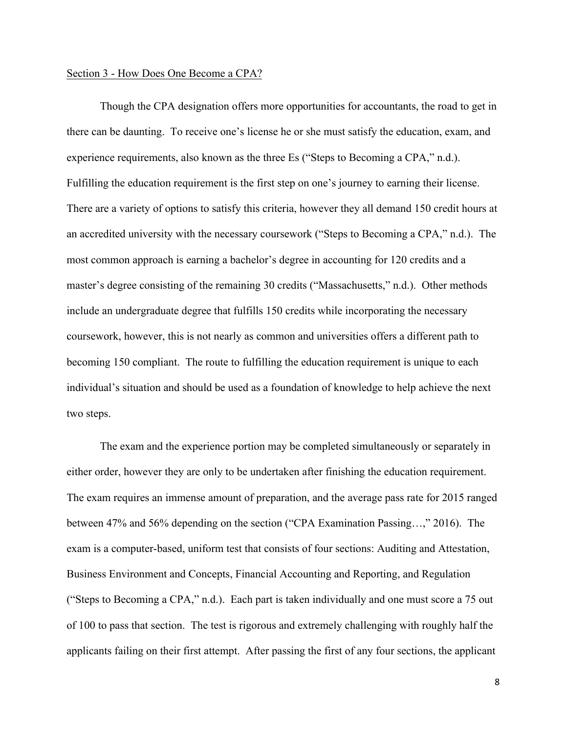### Section 3 - How Does One Become a CPA?

Though the CPA designation offers more opportunities for accountants, the road to get in there can be daunting. To receive one's license he or she must satisfy the education, exam, and experience requirements, also known as the three Es ("Steps to Becoming a CPA," n.d.). Fulfilling the education requirement is the first step on one's journey to earning their license. There are a variety of options to satisfy this criteria, however they all demand 150 credit hours at an accredited university with the necessary coursework ("Steps to Becoming a CPA," n.d.). The most common approach is earning a bachelor's degree in accounting for 120 credits and a master's degree consisting of the remaining 30 credits ("Massachusetts," n.d.). Other methods include an undergraduate degree that fulfills 150 credits while incorporating the necessary coursework, however, this is not nearly as common and universities offers a different path to becoming 150 compliant. The route to fulfilling the education requirement is unique to each individual's situation and should be used as a foundation of knowledge to help achieve the next two steps.

The exam and the experience portion may be completed simultaneously or separately in either order, however they are only to be undertaken after finishing the education requirement. The exam requires an immense amount of preparation, and the average pass rate for 2015 ranged between 47% and 56% depending on the section ("CPA Examination Passing…," 2016). The exam is a computer-based, uniform test that consists of four sections: Auditing and Attestation, Business Environment and Concepts, Financial Accounting and Reporting, and Regulation ("Steps to Becoming a CPA," n.d.). Each part is taken individually and one must score a 75 out of 100 to pass that section. The test is rigorous and extremely challenging with roughly half the applicants failing on their first attempt. After passing the first of any four sections, the applicant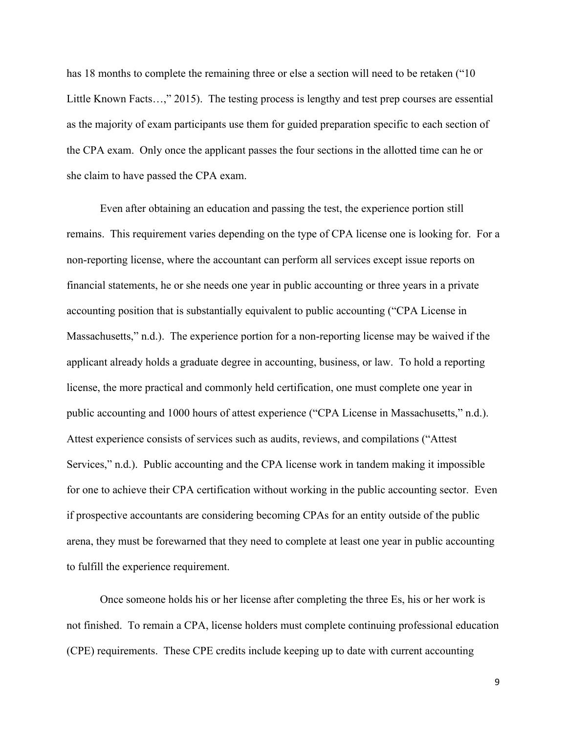has 18 months to complete the remaining three or else a section will need to be retaken ("10 Little Known Facts…," 2015). The testing process is lengthy and test prep courses are essential as the majority of exam participants use them for guided preparation specific to each section of the CPA exam. Only once the applicant passes the four sections in the allotted time can he or she claim to have passed the CPA exam.

Even after obtaining an education and passing the test, the experience portion still remains. This requirement varies depending on the type of CPA license one is looking for. For a non-reporting license, where the accountant can perform all services except issue reports on financial statements, he or she needs one year in public accounting or three years in a private accounting position that is substantially equivalent to public accounting ("CPA License in Massachusetts," n.d.). The experience portion for a non-reporting license may be waived if the applicant already holds a graduate degree in accounting, business, or law. To hold a reporting license, the more practical and commonly held certification, one must complete one year in public accounting and 1000 hours of attest experience ("CPA License in Massachusetts," n.d.). Attest experience consists of services such as audits, reviews, and compilations ("Attest Services," n.d.). Public accounting and the CPA license work in tandem making it impossible for one to achieve their CPA certification without working in the public accounting sector. Even if prospective accountants are considering becoming CPAs for an entity outside of the public arena, they must be forewarned that they need to complete at least one year in public accounting to fulfill the experience requirement.

Once someone holds his or her license after completing the three Es, his or her work is not finished. To remain a CPA, license holders must complete continuing professional education (CPE) requirements. These CPE credits include keeping up to date with current accounting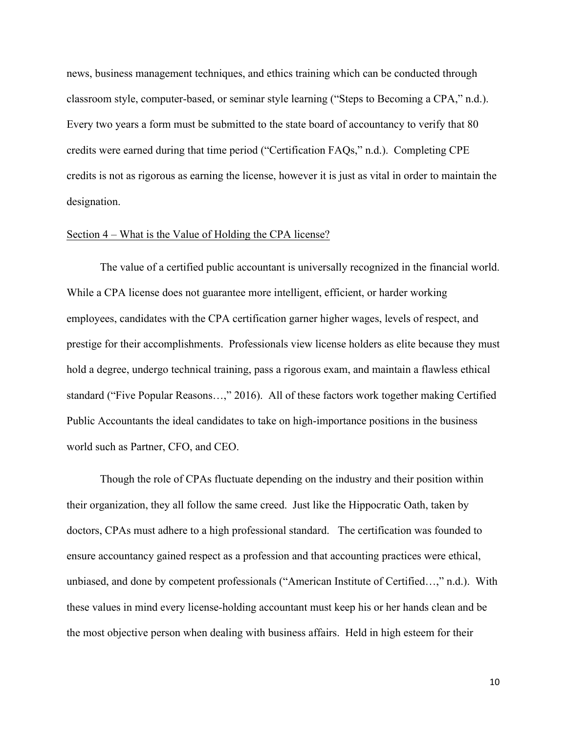news, business management techniques, and ethics training which can be conducted through classroom style, computer-based, or seminar style learning ("Steps to Becoming a CPA," n.d.). Every two years a form must be submitted to the state board of accountancy to verify that 80 credits were earned during that time period ("Certification FAQs," n.d.). Completing CPE credits is not as rigorous as earning the license, however it is just as vital in order to maintain the designation.

#### Section 4 – What is the Value of Holding the CPA license?

The value of a certified public accountant is universally recognized in the financial world. While a CPA license does not guarantee more intelligent, efficient, or harder working employees, candidates with the CPA certification garner higher wages, levels of respect, and prestige for their accomplishments. Professionals view license holders as elite because they must hold a degree, undergo technical training, pass a rigorous exam, and maintain a flawless ethical standard ("Five Popular Reasons…," 2016). All of these factors work together making Certified Public Accountants the ideal candidates to take on high-importance positions in the business world such as Partner, CFO, and CEO.

Though the role of CPAs fluctuate depending on the industry and their position within their organization, they all follow the same creed. Just like the Hippocratic Oath, taken by doctors, CPAs must adhere to a high professional standard. The certification was founded to ensure accountancy gained respect as a profession and that accounting practices were ethical, unbiased, and done by competent professionals ("American Institute of Certified…," n.d.). With these values in mind every license-holding accountant must keep his or her hands clean and be the most objective person when dealing with business affairs. Held in high esteem for their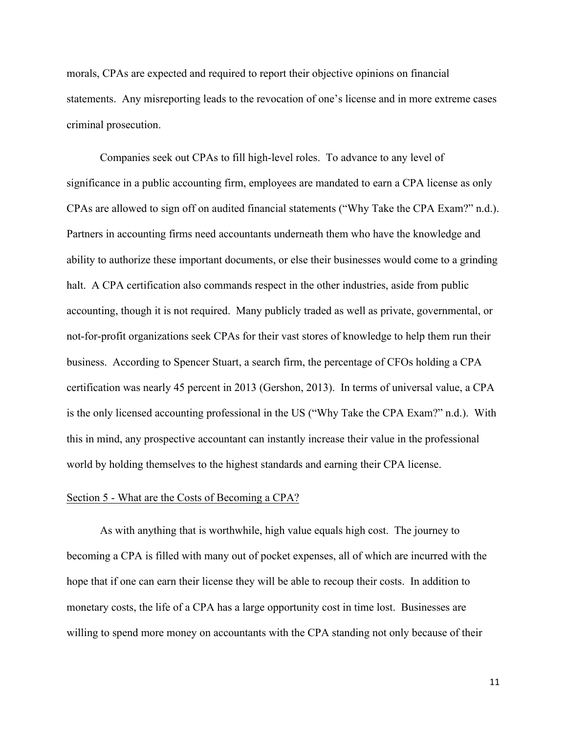morals, CPAs are expected and required to report their objective opinions on financial statements. Any misreporting leads to the revocation of one's license and in more extreme cases criminal prosecution.

Companies seek out CPAs to fill high-level roles. To advance to any level of significance in a public accounting firm, employees are mandated to earn a CPA license as only CPAs are allowed to sign off on audited financial statements ("Why Take the CPA Exam?" n.d.). Partners in accounting firms need accountants underneath them who have the knowledge and ability to authorize these important documents, or else their businesses would come to a grinding halt. A CPA certification also commands respect in the other industries, aside from public accounting, though it is not required. Many publicly traded as well as private, governmental, or not-for-profit organizations seek CPAs for their vast stores of knowledge to help them run their business. According to Spencer Stuart, a search firm, the percentage of CFOs holding a CPA certification was nearly 45 percent in 2013 (Gershon, 2013). In terms of universal value, a CPA is the only licensed accounting professional in the US ("Why Take the CPA Exam?" n.d.). With this in mind, any prospective accountant can instantly increase their value in the professional world by holding themselves to the highest standards and earning their CPA license.

## Section 5 - What are the Costs of Becoming a CPA?

As with anything that is worthwhile, high value equals high cost. The journey to becoming a CPA is filled with many out of pocket expenses, all of which are incurred with the hope that if one can earn their license they will be able to recoup their costs. In addition to monetary costs, the life of a CPA has a large opportunity cost in time lost. Businesses are willing to spend more money on accountants with the CPA standing not only because of their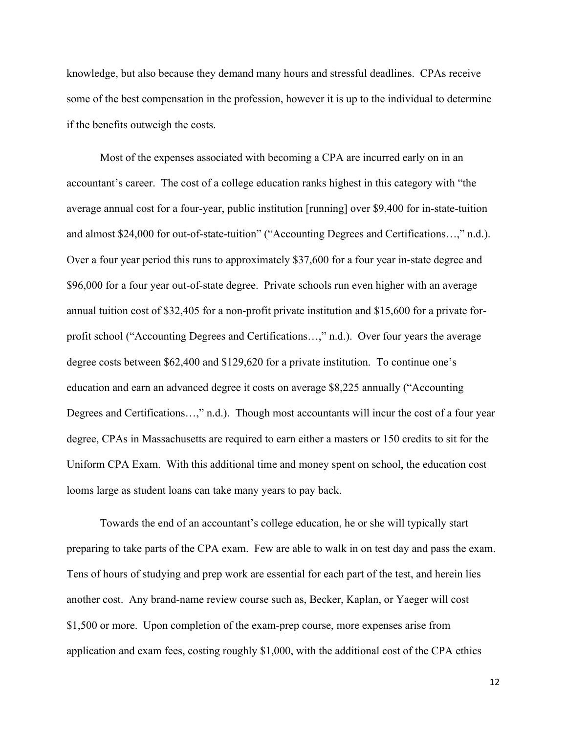knowledge, but also because they demand many hours and stressful deadlines. CPAs receive some of the best compensation in the profession, however it is up to the individual to determine if the benefits outweigh the costs.

Most of the expenses associated with becoming a CPA are incurred early on in an accountant's career. The cost of a college education ranks highest in this category with "the average annual cost for a four-year, public institution [running] over \$9,400 for in-state-tuition and almost \$24,000 for out-of-state-tuition" ("Accounting Degrees and Certifications…," n.d.). Over a four year period this runs to approximately \$37,600 for a four year in-state degree and \$96,000 for a four year out-of-state degree. Private schools run even higher with an average annual tuition cost of \$32,405 for a non-profit private institution and \$15,600 for a private forprofit school ("Accounting Degrees and Certifications…," n.d.). Over four years the average degree costs between \$62,400 and \$129,620 for a private institution. To continue one's education and earn an advanced degree it costs on average \$8,225 annually ("Accounting Degrees and Certifications…," n.d.). Though most accountants will incur the cost of a four year degree, CPAs in Massachusetts are required to earn either a masters or 150 credits to sit for the Uniform CPA Exam. With this additional time and money spent on school, the education cost looms large as student loans can take many years to pay back.

Towards the end of an accountant's college education, he or she will typically start preparing to take parts of the CPA exam. Few are able to walk in on test day and pass the exam. Tens of hours of studying and prep work are essential for each part of the test, and herein lies another cost. Any brand-name review course such as, Becker, Kaplan, or Yaeger will cost \$1,500 or more. Upon completion of the exam-prep course, more expenses arise from application and exam fees, costing roughly \$1,000, with the additional cost of the CPA ethics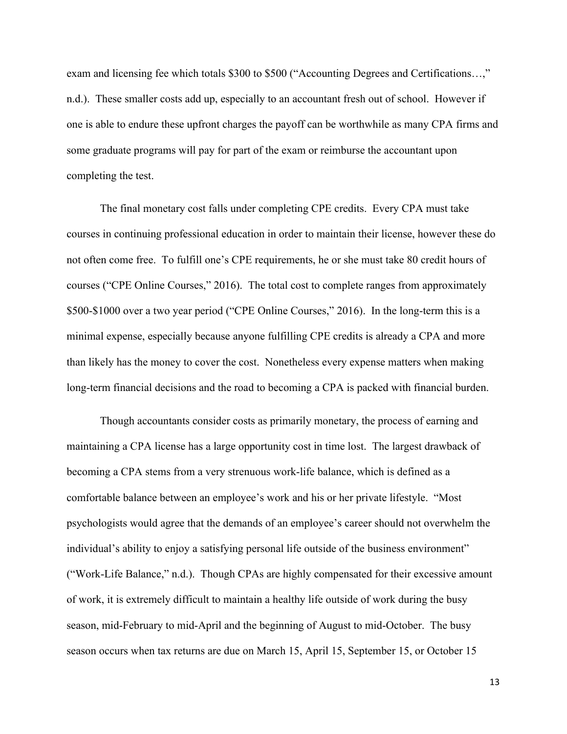exam and licensing fee which totals \$300 to \$500 ("Accounting Degrees and Certifications…," n.d.). These smaller costs add up, especially to an accountant fresh out of school. However if one is able to endure these upfront charges the payoff can be worthwhile as many CPA firms and some graduate programs will pay for part of the exam or reimburse the accountant upon completing the test.

The final monetary cost falls under completing CPE credits. Every CPA must take courses in continuing professional education in order to maintain their license, however these do not often come free. To fulfill one's CPE requirements, he or she must take 80 credit hours of courses ("CPE Online Courses," 2016). The total cost to complete ranges from approximately \$500-\$1000 over a two year period ("CPE Online Courses," 2016). In the long-term this is a minimal expense, especially because anyone fulfilling CPE credits is already a CPA and more than likely has the money to cover the cost. Nonetheless every expense matters when making long-term financial decisions and the road to becoming a CPA is packed with financial burden.

Though accountants consider costs as primarily monetary, the process of earning and maintaining a CPA license has a large opportunity cost in time lost. The largest drawback of becoming a CPA stems from a very strenuous work-life balance, which is defined as a comfortable balance between an employee's work and his or her private lifestyle. "Most psychologists would agree that the demands of an employee's career should not overwhelm the individual's ability to enjoy a satisfying personal life outside of the business environment" ("Work-Life Balance," n.d.). Though CPAs are highly compensated for their excessive amount of work, it is extremely difficult to maintain a healthy life outside of work during the busy season, mid-February to mid-April and the beginning of August to mid-October. The busy season occurs when tax returns are due on March 15, April 15, September 15, or October 15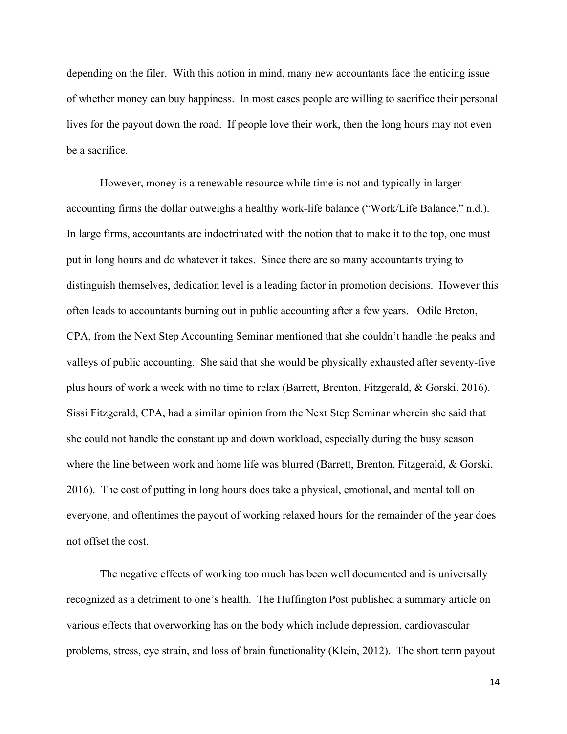depending on the filer. With this notion in mind, many new accountants face the enticing issue of whether money can buy happiness. In most cases people are willing to sacrifice their personal lives for the payout down the road. If people love their work, then the long hours may not even be a sacrifice.

However, money is a renewable resource while time is not and typically in larger accounting firms the dollar outweighs a healthy work-life balance ("Work/Life Balance," n.d.). In large firms, accountants are indoctrinated with the notion that to make it to the top, one must put in long hours and do whatever it takes. Since there are so many accountants trying to distinguish themselves, dedication level is a leading factor in promotion decisions. However this often leads to accountants burning out in public accounting after a few years. Odile Breton, CPA, from the Next Step Accounting Seminar mentioned that she couldn't handle the peaks and valleys of public accounting. She said that she would be physically exhausted after seventy-five plus hours of work a week with no time to relax (Barrett, Brenton, Fitzgerald, & Gorski, 2016). Sissi Fitzgerald, CPA, had a similar opinion from the Next Step Seminar wherein she said that she could not handle the constant up and down workload, especially during the busy season where the line between work and home life was blurred (Barrett, Brenton, Fitzgerald, & Gorski, 2016). The cost of putting in long hours does take a physical, emotional, and mental toll on everyone, and oftentimes the payout of working relaxed hours for the remainder of the year does not offset the cost.

The negative effects of working too much has been well documented and is universally recognized as a detriment to one's health. The Huffington Post published a summary article on various effects that overworking has on the body which include depression, cardiovascular problems, stress, eye strain, and loss of brain functionality (Klein, 2012). The short term payout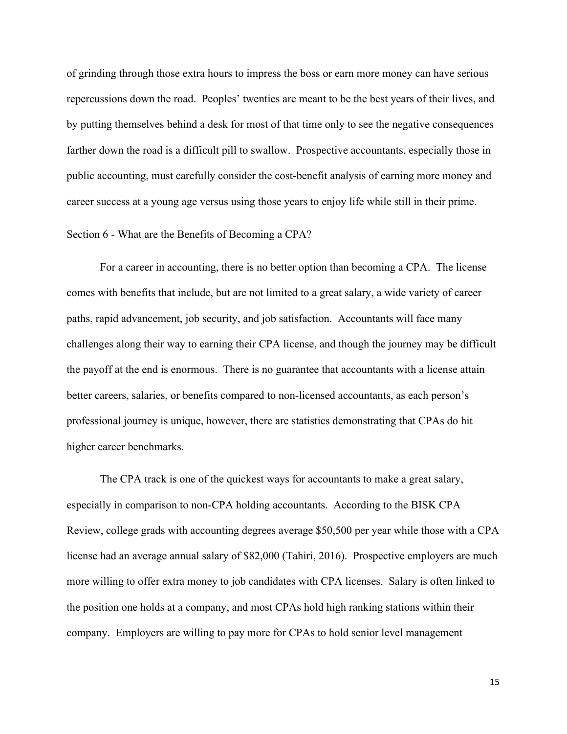of grinding through those extra hours to impress the boss or earn more money can have serious repercussions down the road. Peoples' twenties are meant to be the best years of their lives, and by putting themselves behind a desk for most of that time only to see the negative consequences farther down the road is a difficult pill to swallow. Prospective accountants, especially those in public accounting, must carefully consider the cost-benefit analysis of earning more money and career success at a young age versus using those years to enjoy life while still in their prime.

#### Section 6 - What are the Benefits of Becoming a CPA?

For a career in accounting, there is no better option than becoming a CPA. The license comes with benefits that include, but are not limited to a great salary, a wide variety of career paths, rapid advancement, job security, and job satisfaction. Accountants will face many challenges along their way to earning their CPA license, and though the journey may be difficult the payoff at the end is enormous. There is no guarantee that accountants with a license attain better careers, salaries, or benefits compared to non-licensed accountants, as each person's professional journey is unique, however, there are statistics demonstrating that CPAs do hit higher career benchmarks.

The CPA track is one of the quickest ways for accountants to make a great salary, especially in comparison to non-CPA holding accountants. According to the BISK CPA Review, college grads with accounting degrees average \$50,500 per year while those with a CPA license had an average annual salary of \$82,000 (Tahiri, 2016). Prospective employers are much more willing to offer extra money to job candidates with CPA licenses. Salary is often linked to the position one holds at a company, and most CPAs hold high ranking stations within their company. Employers are willing to pay more for CPAs to hold senior level management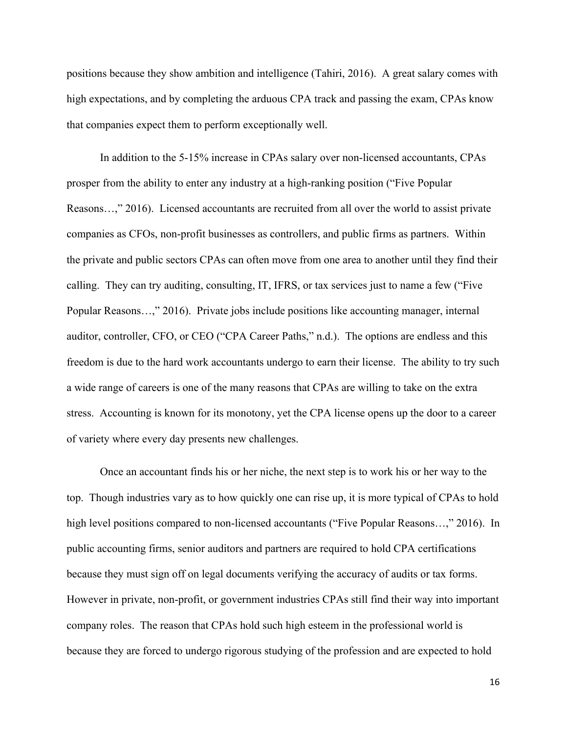positions because they show ambition and intelligence (Tahiri, 2016). A great salary comes with high expectations, and by completing the arduous CPA track and passing the exam, CPAs know that companies expect them to perform exceptionally well.

In addition to the 5-15% increase in CPAs salary over non-licensed accountants, CPAs prosper from the ability to enter any industry at a high-ranking position ("Five Popular Reasons…," 2016). Licensed accountants are recruited from all over the world to assist private companies as CFOs, non-profit businesses as controllers, and public firms as partners. Within the private and public sectors CPAs can often move from one area to another until they find their calling. They can try auditing, consulting, IT, IFRS, or tax services just to name a few ("Five Popular Reasons…," 2016). Private jobs include positions like accounting manager, internal auditor, controller, CFO, or CEO ("CPA Career Paths," n.d.). The options are endless and this freedom is due to the hard work accountants undergo to earn their license. The ability to try such a wide range of careers is one of the many reasons that CPAs are willing to take on the extra stress. Accounting is known for its monotony, yet the CPA license opens up the door to a career of variety where every day presents new challenges.

Once an accountant finds his or her niche, the next step is to work his or her way to the top. Though industries vary as to how quickly one can rise up, it is more typical of CPAs to hold high level positions compared to non-licensed accountants ("Five Popular Reasons...," 2016). In public accounting firms, senior auditors and partners are required to hold CPA certifications because they must sign off on legal documents verifying the accuracy of audits or tax forms. However in private, non-profit, or government industries CPAs still find their way into important company roles. The reason that CPAs hold such high esteem in the professional world is because they are forced to undergo rigorous studying of the profession and are expected to hold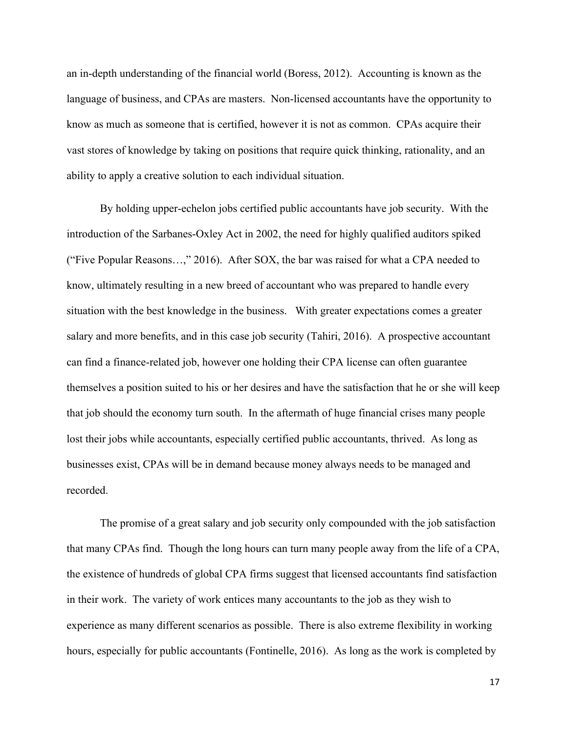an in-depth understanding of the financial world (Boress, 2012). Accounting is known as the language of business, and CPAs are masters. Non-licensed accountants have the opportunity to know as much as someone that is certified, however it is not as common. CPAs acquire their vast stores of knowledge by taking on positions that require quick thinking, rationality, and an ability to apply a creative solution to each individual situation.

By holding upper-echelon jobs certified public accountants have job security. With the introduction of the Sarbanes-Oxley Act in 2002, the need for highly qualified auditors spiked ("Five Popular Reasons…," 2016). After SOX, the bar was raised for what a CPA needed to know, ultimately resulting in a new breed of accountant who was prepared to handle every situation with the best knowledge in the business. With greater expectations comes a greater salary and more benefits, and in this case job security (Tahiri, 2016). A prospective accountant can find a finance-related job, however one holding their CPA license can often guarantee themselves a position suited to his or her desires and have the satisfaction that he or she will keep that job should the economy turn south. In the aftermath of huge financial crises many people lost their jobs while accountants, especially certified public accountants, thrived. As long as businesses exist, CPAs will be in demand because money always needs to be managed and recorded.

The promise of a great salary and job security only compounded with the job satisfaction that many CPAs find. Though the long hours can turn many people away from the life of a CPA, the existence of hundreds of global CPA firms suggest that licensed accountants find satisfaction in their work. The variety of work entices many accountants to the job as they wish to experience as many different scenarios as possible. There is also extreme flexibility in working hours, especially for public accountants (Fontinelle, 2016). As long as the work is completed by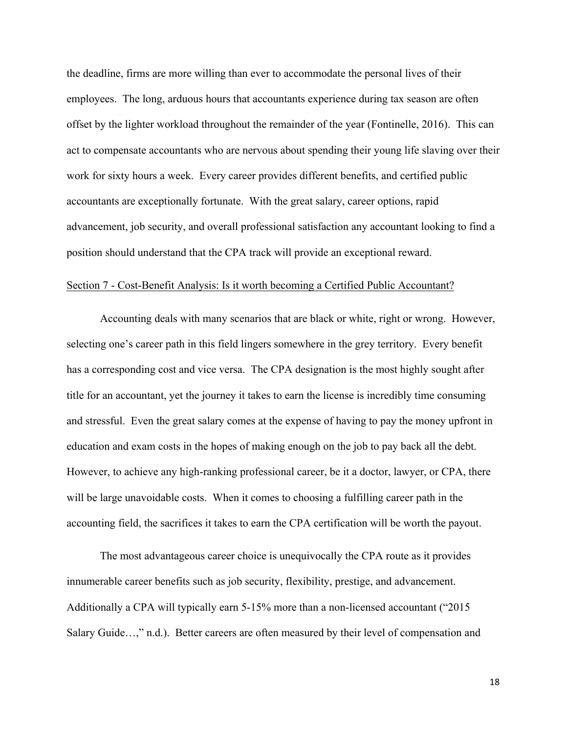the deadline, firms are more willing than ever to accommodate the personal lives of their employees. The long, arduous hours that accountants experience during tax season are often offset by the lighter workload throughout the remainder of the year (Fontinelle, 2016). This can act to compensate accountants who are nervous about spending their young life slaving over their work for sixty hours a week. Every career provides different benefits, and certified public accountants are exceptionally fortunate. With the great salary, career options, rapid advancement, job security, and overall professional satisfaction any accountant looking to find a position should understand that the CPA track will provide an exceptional reward.

## Section 7 - Cost-Benefit Analysis: Is it worth becoming a Certified Public Accountant?

Accounting deals with many scenarios that are black or white, right or wrong. However, selecting one's career path in this field lingers somewhere in the grey territory. Every benefit has a corresponding cost and vice versa. The CPA designation is the most highly sought after title for an accountant, yet the journey it takes to earn the license is incredibly time consuming and stressful. Even the great salary comes at the expense of having to pay the money upfront in education and exam costs in the hopes of making enough on the job to pay back all the debt. However, to achieve any high-ranking professional career, be it a doctor, lawyer, or CPA, there will be large unavoidable costs. When it comes to choosing a fulfilling career path in the accounting field, the sacrifices it takes to earn the CPA certification will be worth the payout.

The most advantageous career choice is unequivocally the CPA route as it provides innumerable career benefits such as job security, flexibility, prestige, and advancement. Additionally a CPA will typically earn 5-15% more than a non-licensed accountant ("2015 Salary Guide…," n.d.). Better careers are often measured by their level of compensation and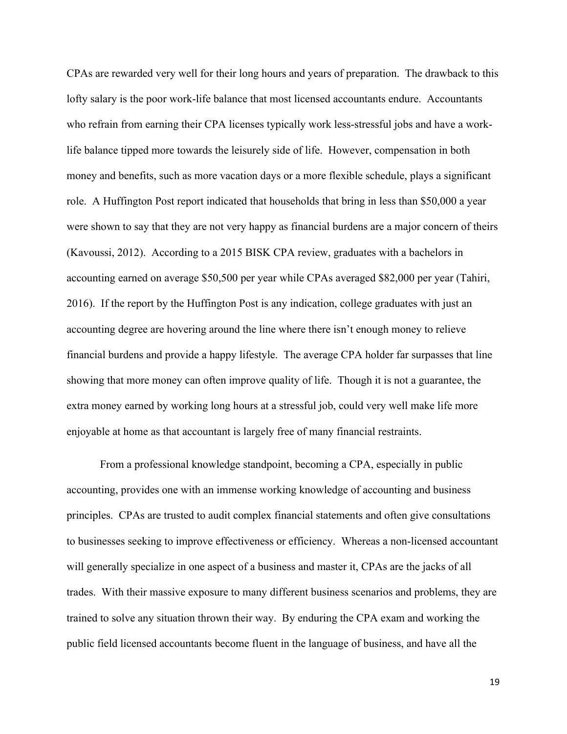CPAs are rewarded very well for their long hours and years of preparation. The drawback to this lofty salary is the poor work-life balance that most licensed accountants endure. Accountants who refrain from earning their CPA licenses typically work less-stressful jobs and have a worklife balance tipped more towards the leisurely side of life. However, compensation in both money and benefits, such as more vacation days or a more flexible schedule, plays a significant role. A Huffington Post report indicated that households that bring in less than \$50,000 a year were shown to say that they are not very happy as financial burdens are a major concern of theirs (Kavoussi, 2012). According to a 2015 BISK CPA review, graduates with a bachelors in accounting earned on average \$50,500 per year while CPAs averaged \$82,000 per year (Tahiri, 2016). If the report by the Huffington Post is any indication, college graduates with just an accounting degree are hovering around the line where there isn't enough money to relieve financial burdens and provide a happy lifestyle. The average CPA holder far surpasses that line showing that more money can often improve quality of life. Though it is not a guarantee, the extra money earned by working long hours at a stressful job, could very well make life more enjoyable at home as that accountant is largely free of many financial restraints.

From a professional knowledge standpoint, becoming a CPA, especially in public accounting, provides one with an immense working knowledge of accounting and business principles. CPAs are trusted to audit complex financial statements and often give consultations to businesses seeking to improve effectiveness or efficiency. Whereas a non-licensed accountant will generally specialize in one aspect of a business and master it, CPAs are the jacks of all trades. With their massive exposure to many different business scenarios and problems, they are trained to solve any situation thrown their way. By enduring the CPA exam and working the public field licensed accountants become fluent in the language of business, and have all the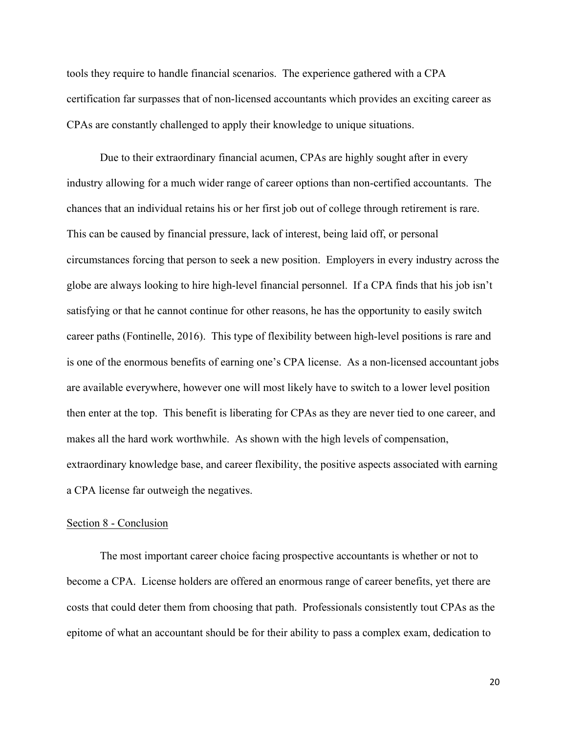tools they require to handle financial scenarios. The experience gathered with a CPA certification far surpasses that of non-licensed accountants which provides an exciting career as CPAs are constantly challenged to apply their knowledge to unique situations.

Due to their extraordinary financial acumen, CPAs are highly sought after in every industry allowing for a much wider range of career options than non-certified accountants. The chances that an individual retains his or her first job out of college through retirement is rare. This can be caused by financial pressure, lack of interest, being laid off, or personal circumstances forcing that person to seek a new position. Employers in every industry across the globe are always looking to hire high-level financial personnel. If a CPA finds that his job isn't satisfying or that he cannot continue for other reasons, he has the opportunity to easily switch career paths (Fontinelle, 2016). This type of flexibility between high-level positions is rare and is one of the enormous benefits of earning one's CPA license. As a non-licensed accountant jobs are available everywhere, however one will most likely have to switch to a lower level position then enter at the top. This benefit is liberating for CPAs as they are never tied to one career, and makes all the hard work worthwhile. As shown with the high levels of compensation, extraordinary knowledge base, and career flexibility, the positive aspects associated with earning a CPA license far outweigh the negatives.

#### Section 8 - Conclusion

The most important career choice facing prospective accountants is whether or not to become a CPA. License holders are offered an enormous range of career benefits, yet there are costs that could deter them from choosing that path. Professionals consistently tout CPAs as the epitome of what an accountant should be for their ability to pass a complex exam, dedication to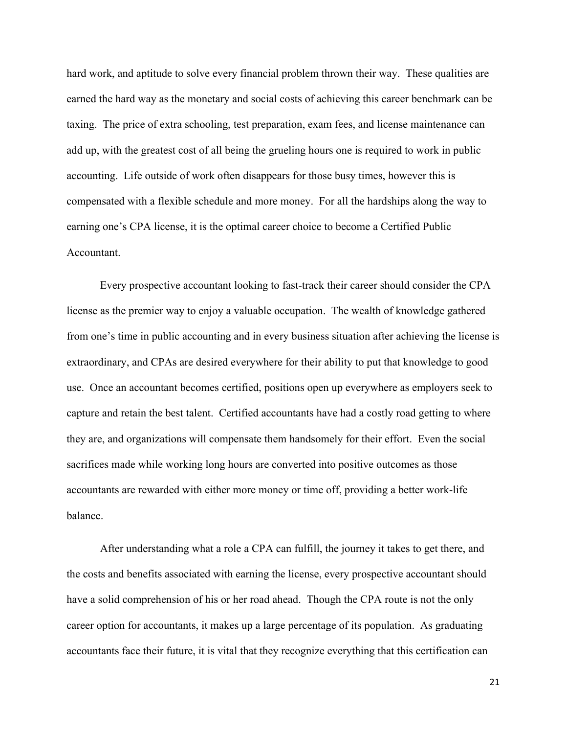hard work, and aptitude to solve every financial problem thrown their way. These qualities are earned the hard way as the monetary and social costs of achieving this career benchmark can be taxing. The price of extra schooling, test preparation, exam fees, and license maintenance can add up, with the greatest cost of all being the grueling hours one is required to work in public accounting. Life outside of work often disappears for those busy times, however this is compensated with a flexible schedule and more money. For all the hardships along the way to earning one's CPA license, it is the optimal career choice to become a Certified Public Accountant.

Every prospective accountant looking to fast-track their career should consider the CPA license as the premier way to enjoy a valuable occupation. The wealth of knowledge gathered from one's time in public accounting and in every business situation after achieving the license is extraordinary, and CPAs are desired everywhere for their ability to put that knowledge to good use. Once an accountant becomes certified, positions open up everywhere as employers seek to capture and retain the best talent. Certified accountants have had a costly road getting to where they are, and organizations will compensate them handsomely for their effort. Even the social sacrifices made while working long hours are converted into positive outcomes as those accountants are rewarded with either more money or time off, providing a better work-life balance.

After understanding what a role a CPA can fulfill, the journey it takes to get there, and the costs and benefits associated with earning the license, every prospective accountant should have a solid comprehension of his or her road ahead. Though the CPA route is not the only career option for accountants, it makes up a large percentage of its population. As graduating accountants face their future, it is vital that they recognize everything that this certification can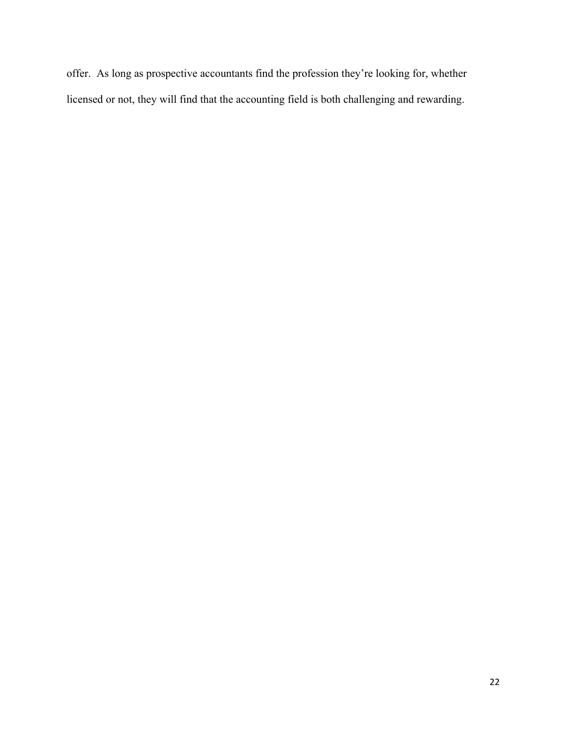offer. As long as prospective accountants find the profession they're looking for, whether licensed or not, they will find that the accounting field is both challenging and rewarding.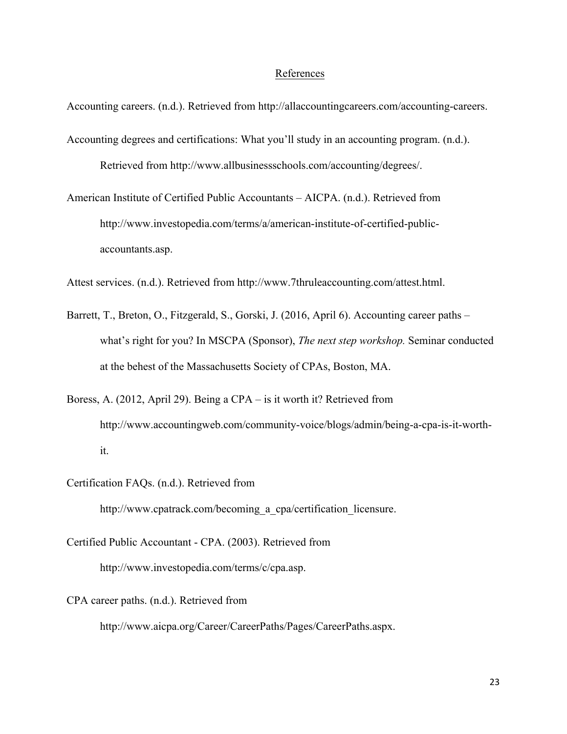#### References

Accounting careers. (n.d.). Retrieved from http://allaccountingcareers.com/accounting-careers.

Accounting degrees and certifications: What you'll study in an accounting program. (n.d.). Retrieved from http://www.allbusinessschools.com/accounting/degrees/.

American Institute of Certified Public Accountants – AICPA. (n.d.). Retrieved from http://www.investopedia.com/terms/a/american-institute-of-certified-publicaccountants.asp.

Attest services. (n.d.). Retrieved from http://www.7thruleaccounting.com/attest.html.

- Barrett, T., Breton, O., Fitzgerald, S., Gorski, J. (2016, April 6). Accounting career paths what's right for you? In MSCPA (Sponsor), *The next step workshop.* Seminar conducted at the behest of the Massachusetts Society of CPAs, Boston, MA.
- Boress, A. (2012, April 29). Being a CPA is it worth it? Retrieved from http://www.accountingweb.com/community-voice/blogs/admin/being-a-cpa-is-it-worthit.
- Certification FAQs. (n.d.). Retrieved from

http://www.cpatrack.com/becoming a cpa/certification licensure.

- Certified Public Accountant CPA. (2003). Retrieved from http://www.investopedia.com/terms/c/cpa.asp.
- CPA career paths. (n.d.). Retrieved from

http://www.aicpa.org/Career/CareerPaths/Pages/CareerPaths.aspx.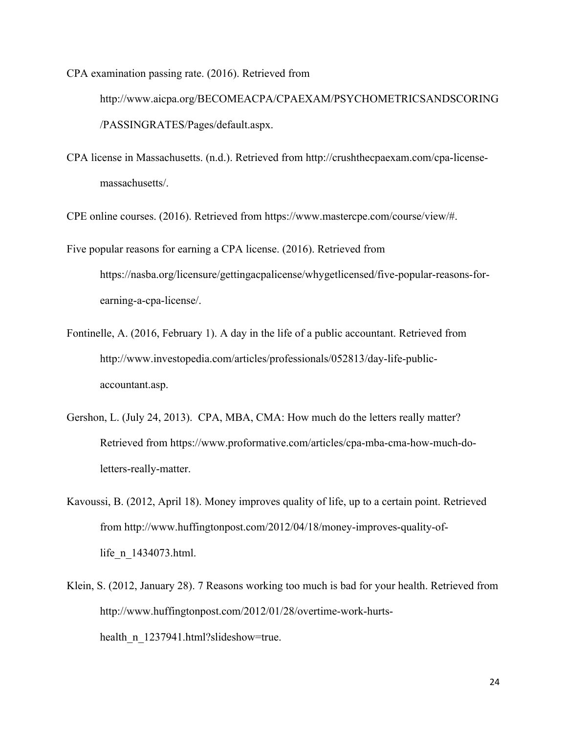CPA examination passing rate. (2016). Retrieved from

http://www.aicpa.org/BECOMEACPA/CPAEXAM/PSYCHOMETRICSANDSCORING /PASSINGRATES/Pages/default.aspx.

CPA license in Massachusetts. (n.d.). Retrieved from http://crushthecpaexam.com/cpa-licensemassachusetts/.

CPE online courses. (2016). Retrieved from https://www.mastercpe.com/course/view/#.

- Five popular reasons for earning a CPA license. (2016). Retrieved from https://nasba.org/licensure/gettingacpalicense/whygetlicensed/five-popular-reasons-forearning-a-cpa-license/.
- Fontinelle, A. (2016, February 1). A day in the life of a public accountant. Retrieved from http://www.investopedia.com/articles/professionals/052813/day-life-publicaccountant.asp.
- Gershon, L. (July 24, 2013). CPA, MBA, CMA: How much do the letters really matter? Retrieved from https://www.proformative.com/articles/cpa-mba-cma-how-much-doletters-really-matter.
- Kavoussi, B. (2012, April 18). Money improves quality of life, up to a certain point. Retrieved from http://www.huffingtonpost.com/2012/04/18/money-improves-quality-oflife\_n\_1434073.html.
- Klein, S. (2012, January 28). 7 Reasons working too much is bad for your health. Retrieved from http://www.huffingtonpost.com/2012/01/28/overtime-work-hurtshealth n 1237941.html?slideshow=true.